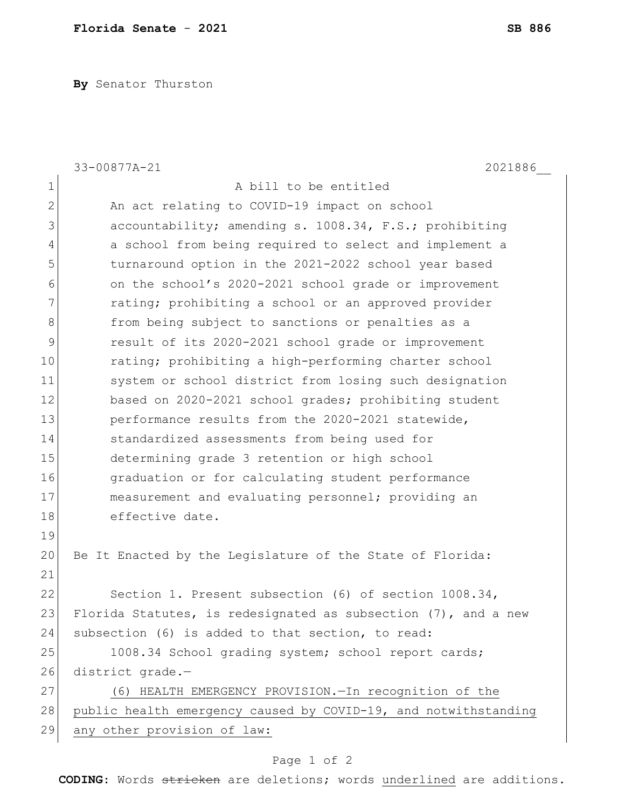**By** Senator Thurston

|              | 33-00877A-21<br>2021886                                           |
|--------------|-------------------------------------------------------------------|
| $\mathbf 1$  | A bill to be entitled                                             |
| $\mathbf{2}$ | An act relating to COVID-19 impact on school                      |
| 3            | accountability; amending s. 1008.34, F.S.; prohibiting            |
| 4            | a school from being required to select and implement a            |
| 5            | turnaround option in the 2021-2022 school year based              |
| 6            | on the school's 2020-2021 school grade or improvement             |
| 7            | rating; prohibiting a school or an approved provider              |
| 8            | from being subject to sanctions or penalties as a                 |
| 9            | result of its 2020-2021 school grade or improvement               |
| 10           | rating; prohibiting a high-performing charter school              |
| 11           | system or school district from losing such designation            |
| 12           | based on 2020-2021 school grades; prohibiting student             |
| 13           | performance results from the 2020-2021 statewide,                 |
| 14           | standardized assessments from being used for                      |
| 15           | determining grade 3 retention or high school                      |
| 16           | graduation or for calculating student performance                 |
| 17           | measurement and evaluating personnel; providing an                |
| 18           | effective date.                                                   |
| 19           |                                                                   |
| 20           | Be It Enacted by the Legislature of the State of Florida:         |
| 21           |                                                                   |
| 22           | Section 1. Present subsection (6) of section 1008.34,             |
| 23           | Florida Statutes, is redesignated as subsection $(7)$ , and a new |
| 24           | subsection (6) is added to that section, to read:                 |
| 25           | 1008.34 School grading system; school report cards;               |
| 26           | district grade.-                                                  |
| 27           | (6) HEALTH EMERGENCY PROVISION. - In recognition of the           |
| 28           | public health emergency caused by COVID-19, and notwithstanding   |
| 29           | any other provision of law:                                       |

## Page 1 of 2

**CODING**: Words stricken are deletions; words underlined are additions.